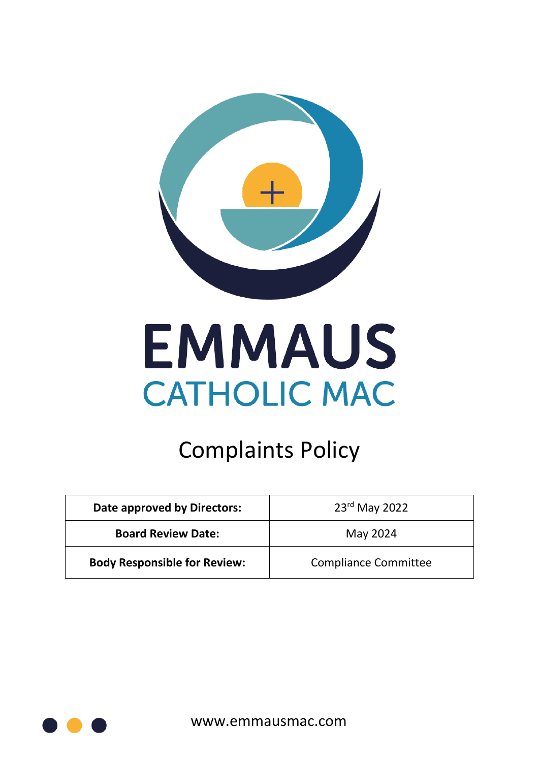

# **EMMAUS CATHOLIC MAC**

# Complaints Policy

| Date approved by Directors:         | $23^{\text{rd}}$ May 2022   |  |
|-------------------------------------|-----------------------------|--|
| <b>Board Review Date:</b>           | May 2024                    |  |
| <b>Body Responsible for Review:</b> | <b>Compliance Committee</b> |  |

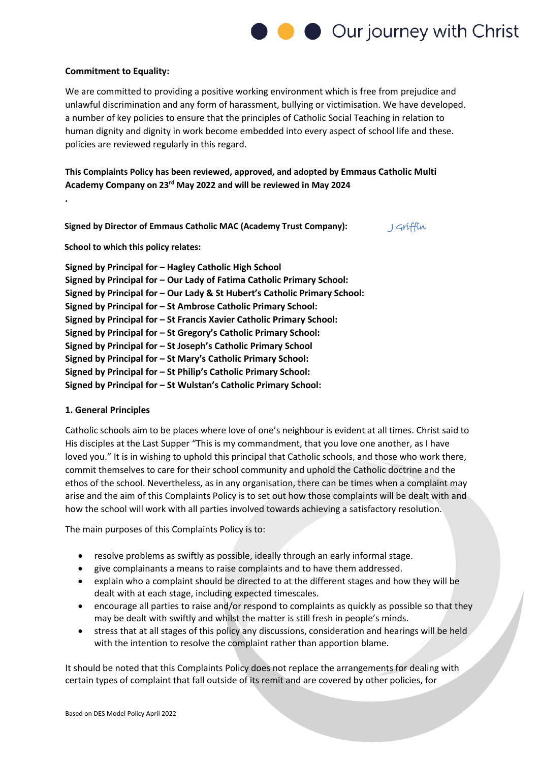

#### **Commitment to Equality:**

We are committed to providing a positive working environment which is free from prejudice and unlawful discrimination and any form of harassment, bullying or victimisation. We have developed. a number of key policies to ensure that the principles of Catholic Social Teaching in relation to human dignity and dignity in work become embedded into every aspect of school life and these. policies are reviewed regularly in this regard.

**This Complaints Policy has been reviewed, approved, and adopted by Emmaus Catholic Multi Academy Company on 23rd May 2022 and will be reviewed in May 2024**

**Signed by Director of Emmaus Catholic MAC (Academy Trust Company):** Griffin

**School to which this policy relates:** 

**.** 

| Signed by Principal for - Hagley Catholic High School                     |
|---------------------------------------------------------------------------|
| Signed by Principal for - Our Lady of Fatima Catholic Primary School:     |
| Signed by Principal for - Our Lady & St Hubert's Catholic Primary School: |
| Signed by Principal for - St Ambrose Catholic Primary School:             |
| Signed by Principal for - St Francis Xavier Catholic Primary School:      |
| Signed by Principal for - St Gregory's Catholic Primary School:           |
| Signed by Principal for - St Joseph's Catholic Primary School             |
| Signed by Principal for - St Mary's Catholic Primary School:              |
| Signed by Principal for - St Philip's Catholic Primary School:            |
| Signed by Principal for - St Wulstan's Catholic Primary School:           |

#### **1. General Principles**

Catholic schools aim to be places where love of one's neighbour is evident at all times. Christ said to His disciples at the Last Supper "This is my commandment, that you love one another, as I have loved you." It is in wishing to uphold this principal that Catholic schools, and those who work there, commit themselves to care for their school community and uphold the Catholic doctrine and the ethos of the school. Nevertheless, as in any organisation, there can be times when a complaint may arise and the aim of this Complaints Policy is to set out how those complaints will be dealt with and how the school will work with all parties involved towards achieving a satisfactory resolution.

The main purposes of this Complaints Policy is to:

- resolve problems as swiftly as possible, ideally through an early informal stage.
- give complainants a means to raise complaints and to have them addressed.
- explain who a complaint should be directed to at the different stages and how they will be dealt with at each stage, including expected timescales.
- encourage all parties to raise and/or respond to complaints as quickly as possible so that they may be dealt with swiftly and whilst the matter is still fresh in people's minds.
- stress that at all stages of this policy any discussions, consideration and hearings will be held with the intention to resolve the complaint rather than apportion blame.

It should be noted that this Complaints Policy does not replace the arrangements for dealing with certain types of complaint that fall outside of its remit and are covered by other policies, for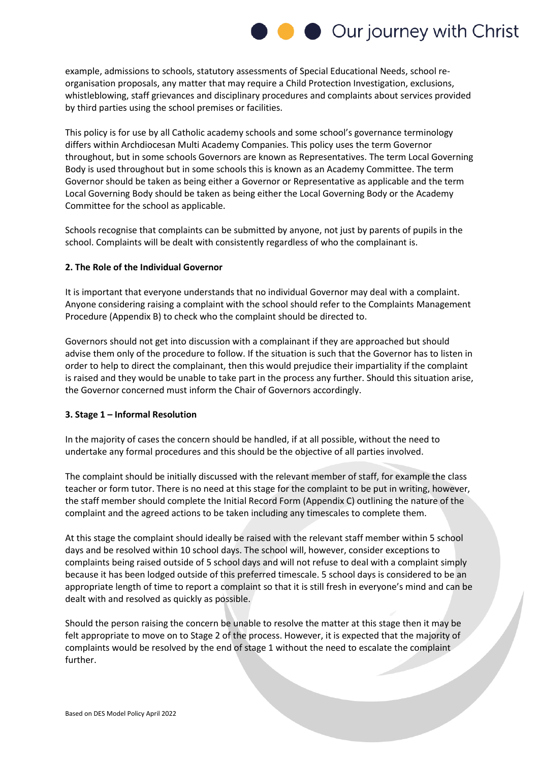

example, admissions to schools, statutory assessments of Special Educational Needs, school reorganisation proposals, any matter that may require a Child Protection Investigation, exclusions, whistleblowing, staff grievances and disciplinary procedures and complaints about services provided by third parties using the school premises or facilities.

This policy is for use by all Catholic academy schools and some school's governance terminology differs within Archdiocesan Multi Academy Companies. This policy uses the term Governor throughout, but in some schools Governors are known as Representatives. The term Local Governing Body is used throughout but in some schools this is known as an Academy Committee. The term Governor should be taken as being either a Governor or Representative as applicable and the term Local Governing Body should be taken as being either the Local Governing Body or the Academy Committee for the school as applicable.

Schools recognise that complaints can be submitted by anyone, not just by parents of pupils in the school. Complaints will be dealt with consistently regardless of who the complainant is.

#### **2. The Role of the Individual Governor**

It is important that everyone understands that no individual Governor may deal with a complaint. Anyone considering raising a complaint with the school should refer to the Complaints Management Procedure (Appendix B) to check who the complaint should be directed to.

Governors should not get into discussion with a complainant if they are approached but should advise them only of the procedure to follow. If the situation is such that the Governor has to listen in order to help to direct the complainant, then this would prejudice their impartiality if the complaint is raised and they would be unable to take part in the process any further. Should this situation arise, the Governor concerned must inform the Chair of Governors accordingly.

#### **3. Stage 1 – Informal Resolution**

In the majority of cases the concern should be handled, if at all possible, without the need to undertake any formal procedures and this should be the objective of all parties involved.

The complaint should be initially discussed with the relevant member of staff, for example the class teacher or form tutor. There is no need at this stage for the complaint to be put in writing, however, the staff member should complete the Initial Record Form (Appendix C) outlining the nature of the complaint and the agreed actions to be taken including any timescales to complete them.

At this stage the complaint should ideally be raised with the relevant staff member within 5 school days and be resolved within 10 school days. The school will, however, consider exceptions to complaints being raised outside of 5 school days and will not refuse to deal with a complaint simply because it has been lodged outside of this preferred timescale. 5 school days is considered to be an appropriate length of time to report a complaint so that it is still fresh in everyone's mind and can be dealt with and resolved as quickly as possible.

Should the person raising the concern be unable to resolve the matter at this stage then it may be felt appropriate to move on to Stage 2 of the process. However, it is expected that the majority of complaints would be resolved by the end of stage 1 without the need to escalate the complaint further.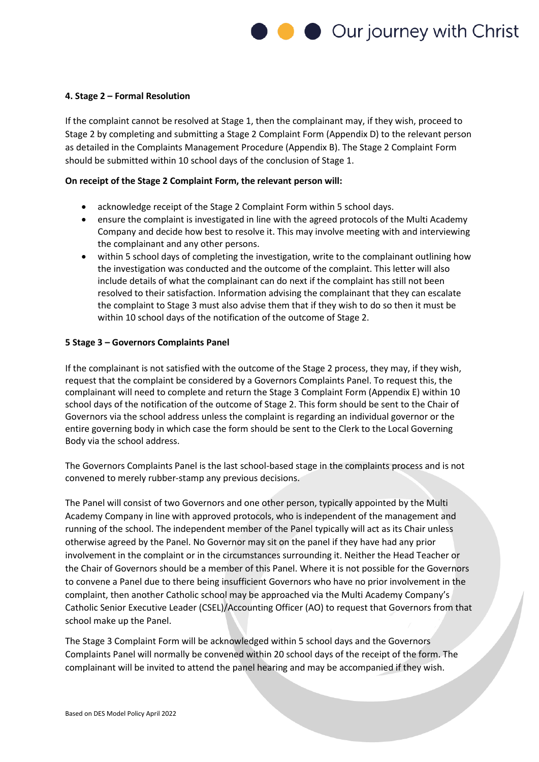

#### **4. Stage 2 – Formal Resolution**

If the complaint cannot be resolved at Stage 1, then the complainant may, if they wish, proceed to Stage 2 by completing and submitting a Stage 2 Complaint Form (Appendix D) to the relevant person as detailed in the Complaints Management Procedure (Appendix B). The Stage 2 Complaint Form should be submitted within 10 school days of the conclusion of Stage 1.

#### **On receipt of the Stage 2 Complaint Form, the relevant person will:**

- acknowledge receipt of the Stage 2 Complaint Form within 5 school days.
- ensure the complaint is investigated in line with the agreed protocols of the Multi Academy Company and decide how best to resolve it. This may involve meeting with and interviewing the complainant and any other persons.
- within 5 school days of completing the investigation, write to the complainant outlining how the investigation was conducted and the outcome of the complaint. This letter will also include details of what the complainant can do next if the complaint has still not been resolved to their satisfaction. Information advising the complainant that they can escalate the complaint to Stage 3 must also advise them that if they wish to do so then it must be within 10 school days of the notification of the outcome of Stage 2.

#### **5 Stage 3 – Governors Complaints Panel**

If the complainant is not satisfied with the outcome of the Stage 2 process, they may, if they wish, request that the complaint be considered by a Governors Complaints Panel. To request this, the complainant will need to complete and return the Stage 3 Complaint Form (Appendix E) within 10 school days of the notification of the outcome of Stage 2. This form should be sent to the Chair of Governors via the school address unless the complaint is regarding an individual governor or the entire governing body in which case the form should be sent to the Clerk to the Local Governing Body via the school address.

The Governors Complaints Panel is the last school-based stage in the complaints process and is not convened to merely rubber-stamp any previous decisions.

The Panel will consist of two Governors and one other person, typically appointed by the Multi Academy Company in line with approved protocols, who is independent of the management and running of the school. The independent member of the Panel typically will act as its Chair unless otherwise agreed by the Panel. No Governor may sit on the panel if they have had any prior involvement in the complaint or in the circumstances surrounding it. Neither the Head Teacher or the Chair of Governors should be a member of this Panel. Where it is not possible for the Governors to convene a Panel due to there being insufficient Governors who have no prior involvement in the complaint, then another Catholic school may be approached via the Multi Academy Company's Catholic Senior Executive Leader (CSEL)/Accounting Officer (AO) to request that Governors from that school make up the Panel.

The Stage 3 Complaint Form will be acknowledged within 5 school days and the Governors Complaints Panel will normally be convened within 20 school days of the receipt of the form. The complainant will be invited to attend the panel hearing and may be accompanied if they wish.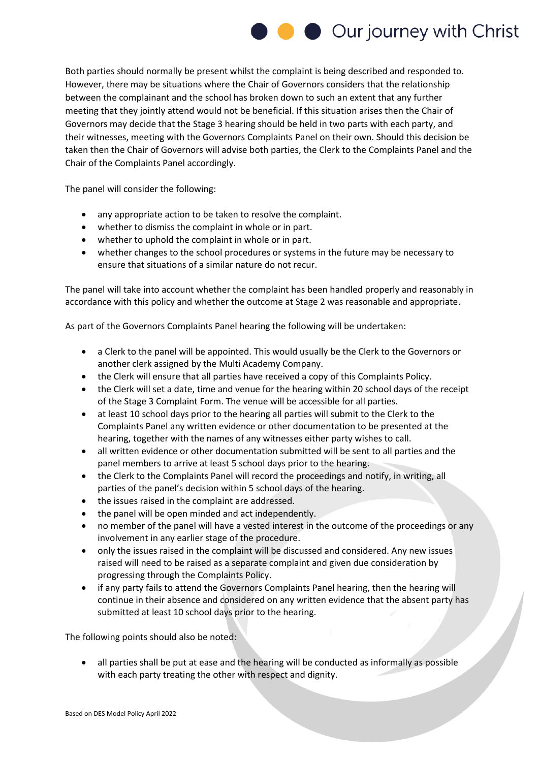

Both parties should normally be present whilst the complaint is being described and responded to. However, there may be situations where the Chair of Governors considers that the relationship between the complainant and the school has broken down to such an extent that any further meeting that they jointly attend would not be beneficial. If this situation arises then the Chair of Governors may decide that the Stage 3 hearing should be held in two parts with each party, and their witnesses, meeting with the Governors Complaints Panel on their own. Should this decision be taken then the Chair of Governors will advise both parties, the Clerk to the Complaints Panel and the Chair of the Complaints Panel accordingly.

The panel will consider the following:

- any appropriate action to be taken to resolve the complaint.
- whether to dismiss the complaint in whole or in part.
- whether to uphold the complaint in whole or in part.
- whether changes to the school procedures or systems in the future may be necessary to ensure that situations of a similar nature do not recur.

The panel will take into account whether the complaint has been handled properly and reasonably in accordance with this policy and whether the outcome at Stage 2 was reasonable and appropriate.

As part of the Governors Complaints Panel hearing the following will be undertaken:

- a Clerk to the panel will be appointed. This would usually be the Clerk to the Governors or another clerk assigned by the Multi Academy Company.
- the Clerk will ensure that all parties have received a copy of this Complaints Policy.
- the Clerk will set a date, time and venue for the hearing within 20 school days of the receipt of the Stage 3 Complaint Form. The venue will be accessible for all parties.
- at least 10 school days prior to the hearing all parties will submit to the Clerk to the Complaints Panel any written evidence or other documentation to be presented at the hearing, together with the names of any witnesses either party wishes to call.
- all written evidence or other documentation submitted will be sent to all parties and the panel members to arrive at least 5 school days prior to the hearing.
- the Clerk to the Complaints Panel will record the proceedings and notify, in writing, all parties of the panel's decision within 5 school days of the hearing.
- the issues raised in the complaint are addressed.
- the panel will be open minded and act independently.
- no member of the panel will have a vested interest in the outcome of the proceedings or any involvement in any earlier stage of the procedure.
- only the issues raised in the complaint will be discussed and considered. Any new issues raised will need to be raised as a separate complaint and given due consideration by progressing through the Complaints Policy.
- if any party fails to attend the Governors Complaints Panel hearing, then the hearing will continue in their absence and considered on any written evidence that the absent party has submitted at least 10 school days prior to the hearing.

The following points should also be noted:

• all parties shall be put at ease and the hearing will be conducted as informally as possible with each party treating the other with respect and dignity.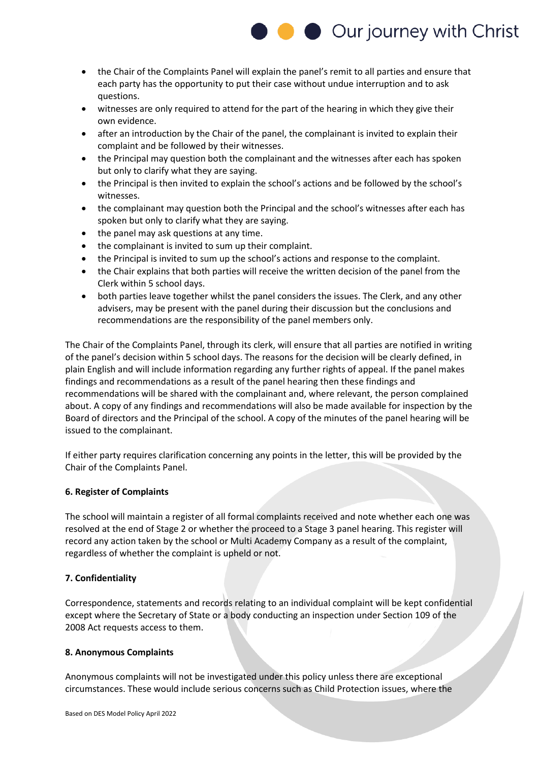

- the Chair of the Complaints Panel will explain the panel's remit to all parties and ensure that each party has the opportunity to put their case without undue interruption and to ask questions.
- witnesses are only required to attend for the part of the hearing in which they give their own evidence.
- after an introduction by the Chair of the panel, the complainant is invited to explain their complaint and be followed by their witnesses.
- the Principal may question both the complainant and the witnesses after each has spoken but only to clarify what they are saying.
- the Principal is then invited to explain the school's actions and be followed by the school's witnesses.
- the complainant may question both the Principal and the school's witnesses after each has spoken but only to clarify what they are saying.
- the panel may ask questions at any time.
- the complainant is invited to sum up their complaint.
- the Principal is invited to sum up the school's actions and response to the complaint.
- the Chair explains that both parties will receive the written decision of the panel from the Clerk within 5 school days.
- both parties leave together whilst the panel considers the issues. The Clerk, and any other advisers, may be present with the panel during their discussion but the conclusions and recommendations are the responsibility of the panel members only.

The Chair of the Complaints Panel, through its clerk, will ensure that all parties are notified in writing of the panel's decision within 5 school days. The reasons for the decision will be clearly defined, in plain English and will include information regarding any further rights of appeal. If the panel makes findings and recommendations as a result of the panel hearing then these findings and recommendations will be shared with the complainant and, where relevant, the person complained about. A copy of any findings and recommendations will also be made available for inspection by the Board of directors and the Principal of the school. A copy of the minutes of the panel hearing will be issued to the complainant.

If either party requires clarification concerning any points in the letter, this will be provided by the Chair of the Complaints Panel.

#### **6. Register of Complaints**

The school will maintain a register of all formal complaints received and note whether each one was resolved at the end of Stage 2 or whether the proceed to a Stage 3 panel hearing. This register will record any action taken by the school or Multi Academy Company as a result of the complaint, regardless of whether the complaint is upheld or not.

#### **7. Confidentiality**

Correspondence, statements and records relating to an individual complaint will be kept confidential except where the Secretary of State or a body conducting an inspection under Section 109 of the 2008 Act requests access to them.

#### **8. Anonymous Complaints**

Anonymous complaints will not be investigated under this policy unless there are exceptional circumstances. These would include serious concerns such as Child Protection issues, where the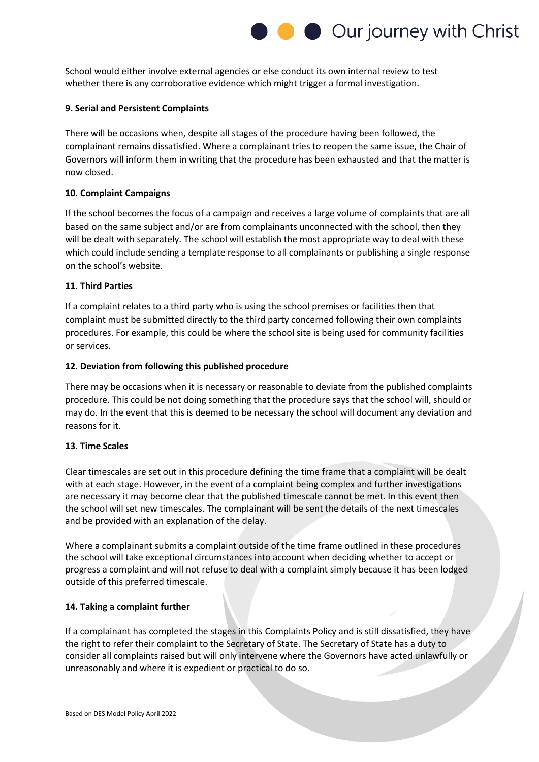

School would either involve external agencies or else conduct its own internal review to test whether there is any corroborative evidence which might trigger a formal investigation.

#### **9. Serial and Persistent Complaints**

There will be occasions when, despite all stages of the procedure having been followed, the complainant remains dissatisfied. Where a complainant tries to reopen the same issue, the Chair of Governors will inform them in writing that the procedure has been exhausted and that the matter is now closed.

#### **10. Complaint Campaigns**

If the school becomes the focus of a campaign and receives a large volume of complaints that are all based on the same subject and/or are from complainants unconnected with the school, then they will be dealt with separately. The school will establish the most appropriate way to deal with these which could include sending a template response to all complainants or publishing a single response on the school's website.

#### **11. Third Parties**

If a complaint relates to a third party who is using the school premises or facilities then that complaint must be submitted directly to the third party concerned following their own complaints procedures. For example, this could be where the school site is being used for community facilities or services.

#### **12. Deviation from following this published procedure**

There may be occasions when it is necessary or reasonable to deviate from the published complaints procedure. This could be not doing something that the procedure says that the school will, should or may do. In the event that this is deemed to be necessary the school will document any deviation and reasons for it.

#### **13. Time Scales**

Clear timescales are set out in this procedure defining the time frame that a complaint will be dealt with at each stage. However, in the event of a complaint being complex and further investigations are necessary it may become clear that the published timescale cannot be met. In this event then the school will set new timescales. The complainant will be sent the details of the next timescales and be provided with an explanation of the delay.

Where a complainant submits a complaint outside of the time frame outlined in these procedures the school will take exceptional circumstances into account when deciding whether to accept or progress a complaint and will not refuse to deal with a complaint simply because it has been lodged outside of this preferred timescale.

#### **14. Taking a complaint further**

If a complainant has completed the stages in this Complaints Policy and is still dissatisfied, they have the right to refer their complaint to the Secretary of State. The Secretary of State has a duty to consider all complaints raised but will only intervene where the Governors have acted unlawfully or unreasonably and where it is expedient or practical to do so.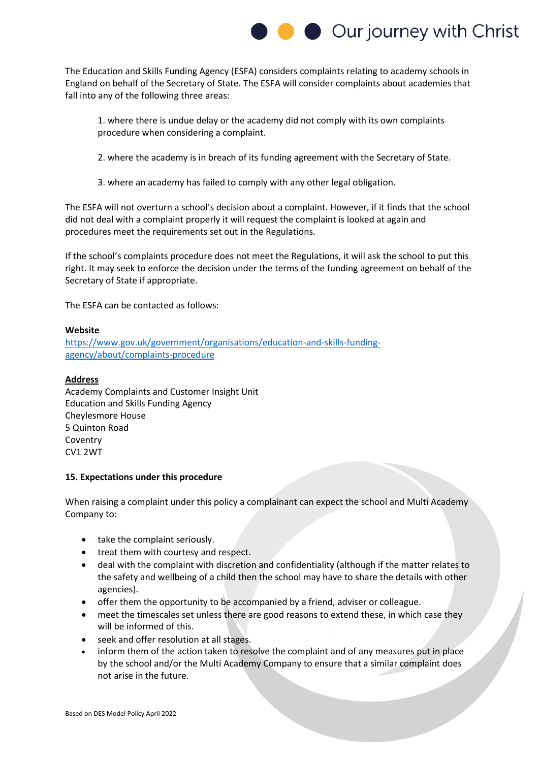

The Education and Skills Funding Agency (ESFA) considers complaints relating to academy schools in England on behalf of the Secretary of State. The ESFA will consider complaints about academies that fall into any of the following three areas:

1. where there is undue delay or the academy did not comply with its own complaints procedure when considering a complaint.

2. where the academy is in breach of its funding agreement with the Secretary of State.

3. where an academy has failed to comply with any other legal obligation.

The ESFA will not overturn a school's decision about a complaint. However, if it finds that the school did not deal with a complaint properly it will request the complaint is looked at again and procedures meet the requirements set out in the Regulations.

If the school's complaints procedure does not meet the Regulations, it will ask the school to put this right. It may seek to enforce the decision under the terms of the funding agreement on behalf of the Secretary of State if appropriate.

The ESFA can be contacted as follows:

#### **Website**

[https://www.gov.uk/government/organisations/education-and-skills-funding](https://www.gov.uk/government/organisations/education-and-skills-funding-agency/about/complaints-procedure)[agency/about/complaints-procedure](https://www.gov.uk/government/organisations/education-and-skills-funding-agency/about/complaints-procedure)

#### **Address**

Academy Complaints and Customer Insight Unit Education and Skills Funding Agency Cheylesmore House 5 Quinton Road Coventry CV1 2WT

#### **15. Expectations under this procedure**

When raising a complaint under this policy a complainant can expect the school and Multi Academy Company to:

- take the complaint seriously.
- treat them with courtesy and respect.
- deal with the complaint with discretion and confidentiality (although if the matter relates to the safety and wellbeing of a child then the school may have to share the details with other agencies).
- offer them the opportunity to be accompanied by a friend, adviser or colleague.
- meet the timescales set unless there are good reasons to extend these, in which case they will be informed of this.
- seek and offer resolution at all stages.
- inform them of the action taken to resolve the complaint and of any measures put in place by the school and/or the Multi Academy Company to ensure that a similar complaint does not arise in the future.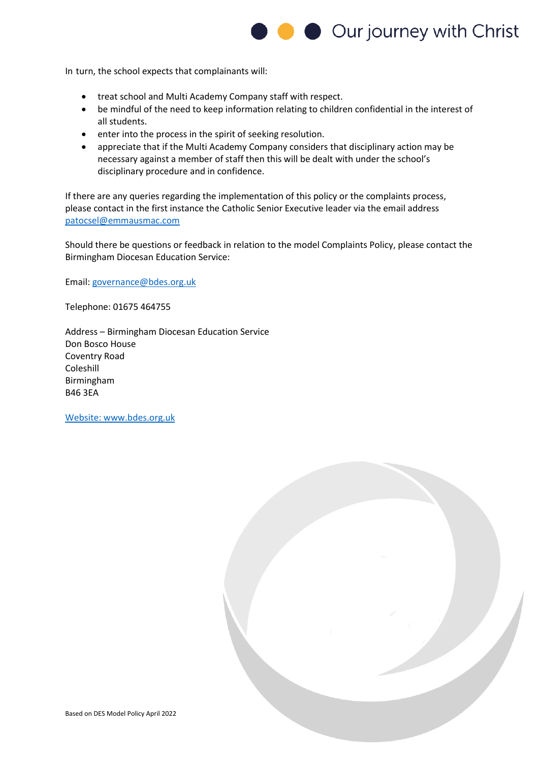

In turn, the school expects that complainants will:

- treat school and Multi Academy Company staff with respect.
- be mindful of the need to keep information relating to children confidential in the interest of all students.
- enter into the process in the spirit of seeking resolution.
- appreciate that if the Multi Academy Company considers that disciplinary action may be necessary against a member of staff then this will be dealt with under the school's disciplinary procedure and in confidence.

If there are any queries regarding the implementation of this policy or the complaints process, please contact in the first instance the Catholic Senior Executive leader via the email address [patocsel@emmausmac.com](mailto:patocsel@emmausmac.com)

Should there be questions or feedback in relation to the model Complaints Policy, please contact the Birmingham Diocesan Education Service:

Email: [governance@bdes.org.uk](file:///C:/Users/adeu/AppData/Local/Temp/MicrosoftEdgeDownloads/3c12866a-5ad7-4eb5-8d4e-78a4f9e1ad07/governance@bdes.org.uk)

Telephone: 01675 464755

Address – Birmingham Diocesan Education Service Don Bosco House Coventry Road Coleshill Birmingham B46 3EA

[Website: www.bdes.org.uk](Website:%20www.bdes.org.uk)

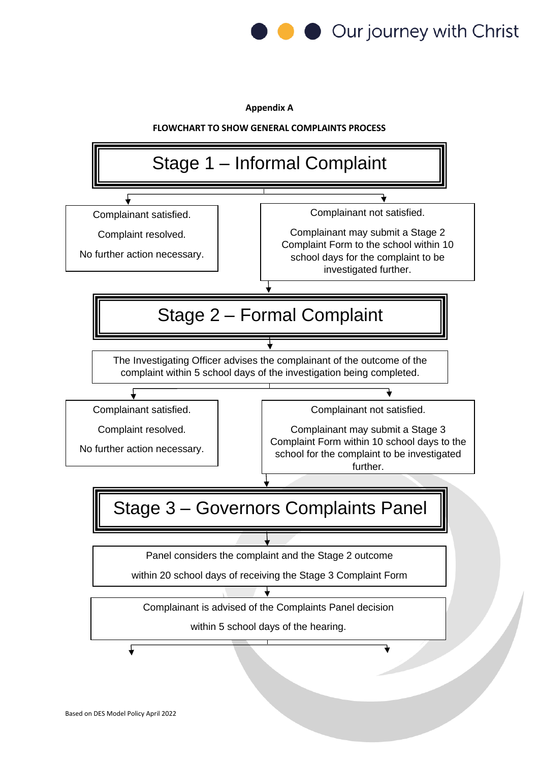

**Appendix A**

**FLOWCHART TO SHOW GENERAL COMPLAINTS PROCESS**

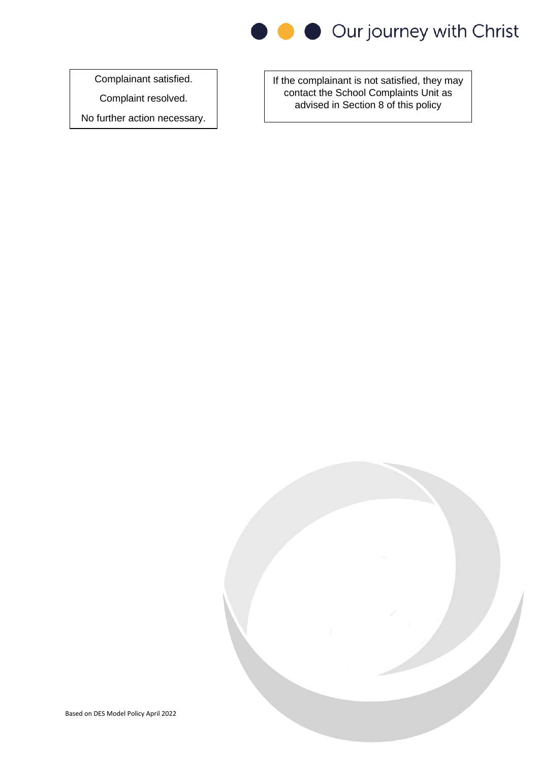

Complainant satisfied.

Complaint resolved.

No further action necessary.

If the complainant is not satisfied, they may contact the School Complaints Unit as advised in Section 8 of this policy

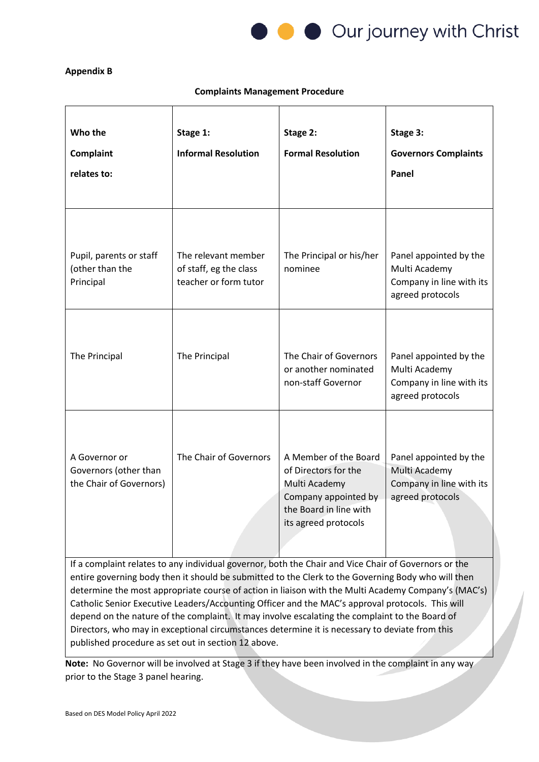

#### **Appendix B**

#### **Complaints Management Procedure**

| Who the<br>Complaint<br>relates to:                                                                                                                                                                                                                                                                                                                                                                                                                                                                                     | Stage 1:<br><b>Informal Resolution</b>                                 | Stage 2:<br><b>Formal Resolution</b>                                                                                                     | Stage 3:<br><b>Governors Complaints</b><br>Panel                                        |
|-------------------------------------------------------------------------------------------------------------------------------------------------------------------------------------------------------------------------------------------------------------------------------------------------------------------------------------------------------------------------------------------------------------------------------------------------------------------------------------------------------------------------|------------------------------------------------------------------------|------------------------------------------------------------------------------------------------------------------------------------------|-----------------------------------------------------------------------------------------|
| Pupil, parents or staff<br>(other than the<br>Principal                                                                                                                                                                                                                                                                                                                                                                                                                                                                 | The relevant member<br>of staff, eg the class<br>teacher or form tutor | The Principal or his/her<br>nominee                                                                                                      | Panel appointed by the<br>Multi Academy<br>Company in line with its<br>agreed protocols |
| The Principal                                                                                                                                                                                                                                                                                                                                                                                                                                                                                                           | The Principal                                                          | The Chair of Governors<br>or another nominated<br>non-staff Governor                                                                     | Panel appointed by the<br>Multi Academy<br>Company in line with its<br>agreed protocols |
| A Governor or<br>Governors (other than<br>the Chair of Governors)                                                                                                                                                                                                                                                                                                                                                                                                                                                       | The Chair of Governors                                                 | A Member of the Board<br>of Directors for the<br>Multi Academy<br>Company appointed by<br>the Board in line with<br>its agreed protocols | Panel appointed by the<br>Multi Academy<br>Company in line with its<br>agreed protocols |
| If a complaint relates to any individual governor, both the Chair and Vice Chair of Governors or the<br>entire governing body then it should be submitted to the Clerk to the Governing Body who will then<br>determine the most appropriate course of action in liaison with the Multi Academy Company's (MAC's)<br>Catholic Senior Executive Leaders/Accounting Officer and the MAC's approval protocols. This will<br>depend on the nature of the complaint. It may involve escalating the complaint to the Board of |                                                                        |                                                                                                                                          |                                                                                         |

**Note:** No Governor will be involved at Stage 3 if they have been involved in the complaint in any way prior to the Stage 3 panel hearing.

Directors, who may in exceptional circumstances determine it is necessary to deviate from this

published procedure as set out in section 12 above.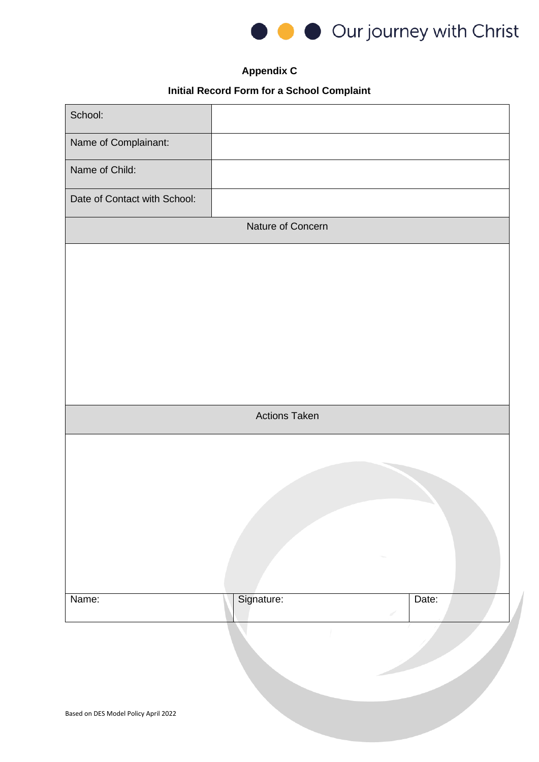

# **Appendix C**

# **Initial Record Form for a School Complaint**

| Name of Complainant:<br>Name of Child:<br>Date of Contact with School:<br>Nature of Concern<br><b>Actions Taken</b> | School: |  |
|---------------------------------------------------------------------------------------------------------------------|---------|--|
|                                                                                                                     |         |  |
|                                                                                                                     |         |  |
|                                                                                                                     |         |  |
|                                                                                                                     |         |  |
|                                                                                                                     |         |  |
|                                                                                                                     |         |  |
|                                                                                                                     |         |  |
|                                                                                                                     |         |  |
|                                                                                                                     |         |  |
|                                                                                                                     |         |  |
|                                                                                                                     |         |  |
|                                                                                                                     |         |  |
|                                                                                                                     |         |  |
|                                                                                                                     |         |  |
|                                                                                                                     |         |  |
|                                                                                                                     |         |  |
| Signature:<br>Name:<br>Date:                                                                                        |         |  |
|                                                                                                                     |         |  |
|                                                                                                                     |         |  |
|                                                                                                                     |         |  |
| Based on DES Model Policy April 2022                                                                                |         |  |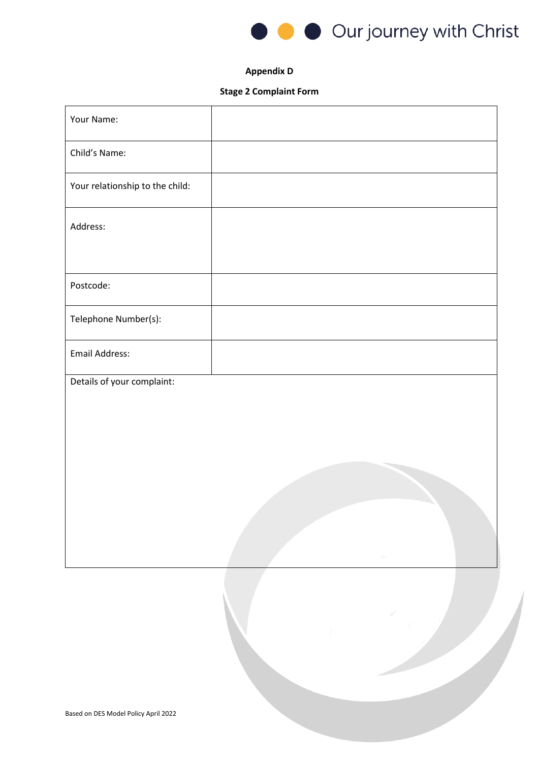

#### **Appendix D**

## **Stage 2 Complaint Form**

| Your Name:                      |  |
|---------------------------------|--|
| Child's Name:                   |  |
| Your relationship to the child: |  |
| Address:                        |  |
|                                 |  |
| Postcode:                       |  |
| Telephone Number(s):            |  |
| Email Address:                  |  |
| Details of your complaint:      |  |
|                                 |  |
|                                 |  |
|                                 |  |
|                                 |  |
|                                 |  |
|                                 |  |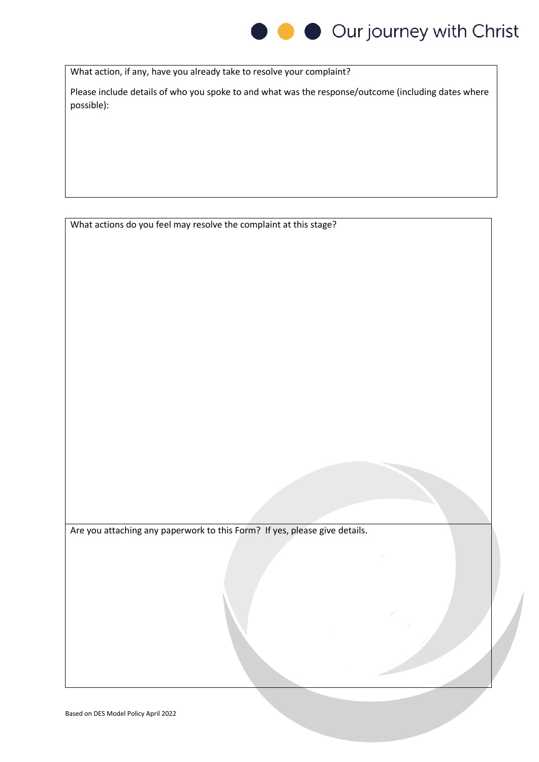

What action, if any, have you already take to resolve your complaint?

Please include details of who you spoke to and what was the response/outcome (including dates where possible):

What actions do you feel may resolve the complaint at this stage?

Are you attaching any paperwork to this Form? If yes, please give details.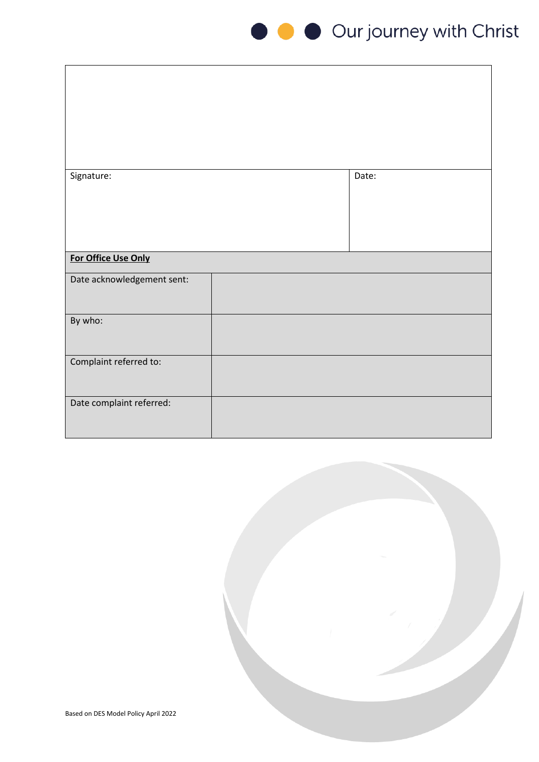

| Signature:                 | Date: |
|----------------------------|-------|
|                            |       |
|                            |       |
|                            |       |
|                            |       |
| For Office Use Only        |       |
| Date acknowledgement sent: |       |
|                            |       |
| By who:                    |       |
|                            |       |
| Complaint referred to:     |       |
|                            |       |
|                            |       |
| Date complaint referred:   |       |
|                            |       |

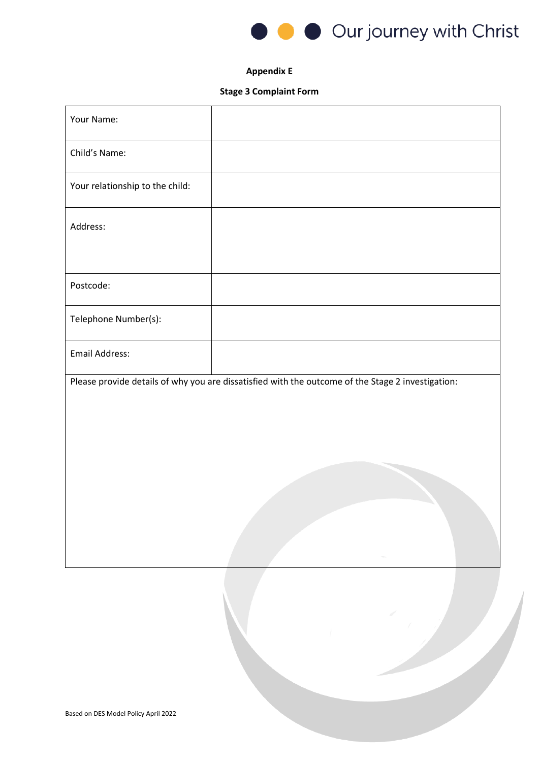

#### **Appendix E**

## **Stage 3 Complaint Form**

| Your Name:                      |                                                                                                   |
|---------------------------------|---------------------------------------------------------------------------------------------------|
| Child's Name:                   |                                                                                                   |
| Your relationship to the child: |                                                                                                   |
| Address:                        |                                                                                                   |
|                                 |                                                                                                   |
| Postcode:                       |                                                                                                   |
| Telephone Number(s):            |                                                                                                   |
| Email Address:                  |                                                                                                   |
|                                 | Please provide details of why you are dissatisfied with the outcome of the Stage 2 investigation: |
|                                 |                                                                                                   |
|                                 |                                                                                                   |
|                                 |                                                                                                   |
|                                 |                                                                                                   |
|                                 |                                                                                                   |
|                                 |                                                                                                   |
|                                 |                                                                                                   |
|                                 |                                                                                                   |